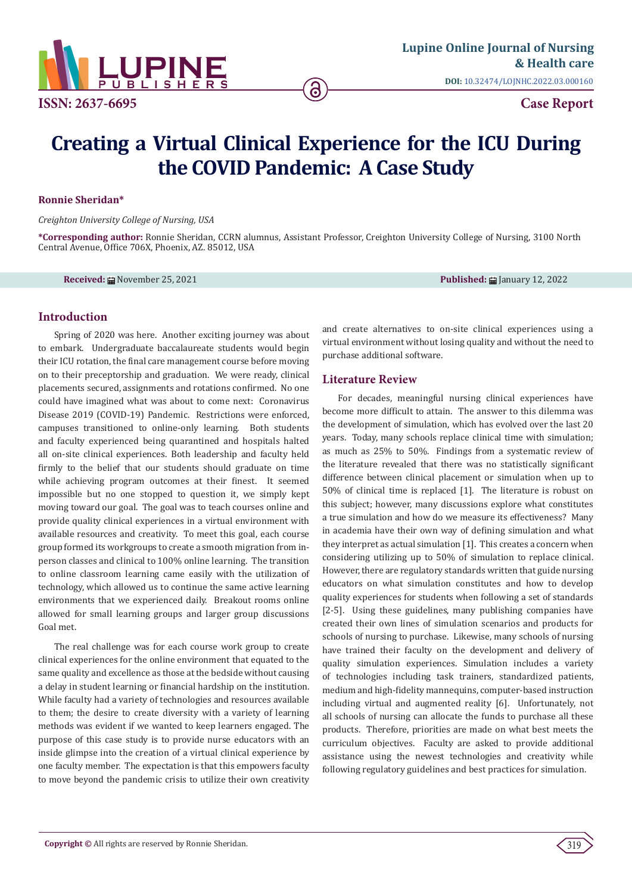

# **Creating a Virtual Clinical Experience for the ICU During the COVID Pandemic: A Case Study**

ခ

### **Ronnie Sheridan\***

*Creighton University College of Nursing, USA*

**\*Corresponding author:** Ronnie Sheridan, CCRN alumnus, Assistant Professor, Creighton University College of Nursing, 3100 North Central Avenue, Office 706X, Phoenix, AZ. 85012, USA

**Received:** ■ November 25, 2021 **Published:** ■ January 12, 2022

# **Introduction**

Spring of 2020 was here. Another exciting journey was about to embark. Undergraduate baccalaureate students would begin their ICU rotation, the final care management course before moving on to their preceptorship and graduation. We were ready, clinical placements secured, assignments and rotations confirmed. No one could have imagined what was about to come next: Coronavirus Disease 2019 (COVID-19) Pandemic. Restrictions were enforced, campuses transitioned to online-only learning. Both students and faculty experienced being quarantined and hospitals halted all on-site clinical experiences. Both leadership and faculty held firmly to the belief that our students should graduate on time while achieving program outcomes at their finest. It seemed impossible but no one stopped to question it, we simply kept moving toward our goal. The goal was to teach courses online and provide quality clinical experiences in a virtual environment with available resources and creativity. To meet this goal, each course group formed its workgroups to create a smooth migration from inperson classes and clinical to 100% online learning. The transition to online classroom learning came easily with the utilization of technology, which allowed us to continue the same active learning environments that we experienced daily. Breakout rooms online allowed for small learning groups and larger group discussions Goal met.

The real challenge was for each course work group to create clinical experiences for the online environment that equated to the same quality and excellence as those at the bedside without causing a delay in student learning or financial hardship on the institution. While faculty had a variety of technologies and resources available to them; the desire to create diversity with a variety of learning methods was evident if we wanted to keep learners engaged. The purpose of this case study is to provide nurse educators with an inside glimpse into the creation of a virtual clinical experience by one faculty member. The expectation is that this empowers faculty to move beyond the pandemic crisis to utilize their own creativity

and create alternatives to on-site clinical experiences using a virtual environment without losing quality and without the need to purchase additional software.

# **Literature Review**

For decades, meaningful nursing clinical experiences have become more difficult to attain. The answer to this dilemma was the development of simulation, which has evolved over the last 20 years. Today, many schools replace clinical time with simulation; as much as 25% to 50%. Findings from a systematic review of the literature revealed that there was no statistically significant difference between clinical placement or simulation when up to 50% of clinical time is replaced [1]. The literature is robust on this subject; however, many discussions explore what constitutes a true simulation and how do we measure its effectiveness? Many in academia have their own way of defining simulation and what they interpret as actual simulation [1]. This creates a concern when considering utilizing up to 50% of simulation to replace clinical. However, there are regulatory standards written that guide nursing educators on what simulation constitutes and how to develop quality experiences for students when following a set of standards [2-5]. Using these guidelines, many publishing companies have created their own lines of simulation scenarios and products for schools of nursing to purchase. Likewise, many schools of nursing have trained their faculty on the development and delivery of quality simulation experiences. Simulation includes a variety of technologies including task trainers, standardized patients, medium and high-fidelity mannequins, computer-based instruction including virtual and augmented reality [6]. Unfortunately, not all schools of nursing can allocate the funds to purchase all these products. Therefore, priorities are made on what best meets the curriculum objectives. Faculty are asked to provide additional assistance using the newest technologies and creativity while following regulatory guidelines and best practices for simulation.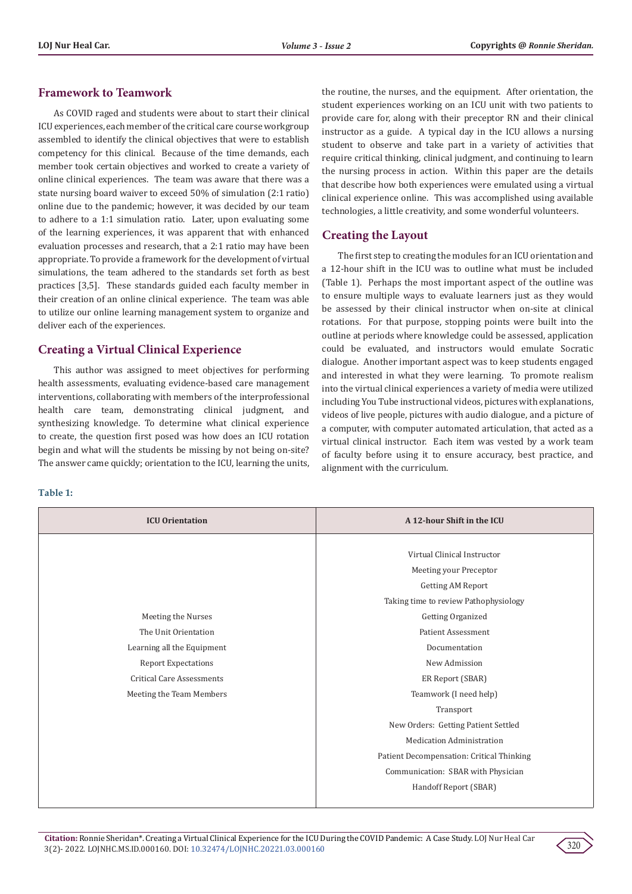# **Framework to Teamwork**

As COVID raged and students were about to start their clinical ICU experiences, each member of the critical care course workgroup assembled to identify the clinical objectives that were to establish competency for this clinical. Because of the time demands, each member took certain objectives and worked to create a variety of online clinical experiences. The team was aware that there was a state nursing board waiver to exceed 50% of simulation (2:1 ratio) online due to the pandemic; however, it was decided by our team to adhere to a 1:1 simulation ratio. Later, upon evaluating some of the learning experiences, it was apparent that with enhanced evaluation processes and research, that a 2:1 ratio may have been appropriate. To provide a framework for the development of virtual simulations, the team adhered to the standards set forth as best practices [3,5]. These standards guided each faculty member in their creation of an online clinical experience. The team was able to utilize our online learning management system to organize and deliver each of the experiences.

# **Creating a Virtual Clinical Experience**

This author was assigned to meet objectives for performing health assessments, evaluating evidence-based care management interventions, collaborating with members of the interprofessional health care team, demonstrating clinical judgment, and synthesizing knowledge. To determine what clinical experience to create, the question first posed was how does an ICU rotation begin and what will the students be missing by not being on-site? The answer came quickly; orientation to the ICU, learning the units,

#### **Table 1:**

the routine, the nurses, and the equipment. After orientation, the student experiences working on an ICU unit with two patients to provide care for, along with their preceptor RN and their clinical instructor as a guide. A typical day in the ICU allows a nursing student to observe and take part in a variety of activities that require critical thinking, clinical judgment, and continuing to learn the nursing process in action. Within this paper are the details that describe how both experiences were emulated using a virtual clinical experience online. This was accomplished using available technologies, a little creativity, and some wonderful volunteers.

# **Creating the Layout**

The first step to creating the modules for an ICU orientation and a 12-hour shift in the ICU was to outline what must be included (Table 1). Perhaps the most important aspect of the outline was to ensure multiple ways to evaluate learners just as they would be assessed by their clinical instructor when on-site at clinical rotations. For that purpose, stopping points were built into the outline at periods where knowledge could be assessed, application could be evaluated, and instructors would emulate Socratic dialogue. Another important aspect was to keep students engaged and interested in what they were learning. To promote realism into the virtual clinical experiences a variety of media were utilized including You Tube instructional videos, pictures with explanations, videos of live people, pictures with audio dialogue, and a picture of a computer, with computer automated articulation, that acted as a virtual clinical instructor. Each item was vested by a work team of faculty before using it to ensure accuracy, best practice, and alignment with the curriculum.

| <b>ICU Orientation</b>           | A 12-hour Shift in the ICU                |
|----------------------------------|-------------------------------------------|
|                                  |                                           |
|                                  | Virtual Clinical Instructor               |
|                                  | Meeting your Preceptor                    |
|                                  | Getting AM Report                         |
|                                  | Taking time to review Pathophysiology     |
| Meeting the Nurses               | Getting Organized                         |
| The Unit Orientation             | <b>Patient Assessment</b>                 |
| Learning all the Equipment       | Documentation                             |
| <b>Report Expectations</b>       | New Admission                             |
| <b>Critical Care Assessments</b> | ER Report (SBAR)                          |
| Meeting the Team Members         | Teamwork (I need help)                    |
|                                  | Transport                                 |
|                                  | New Orders: Getting Patient Settled       |
|                                  | <b>Medication Administration</b>          |
|                                  | Patient Decompensation: Critical Thinking |
|                                  | Communication: SBAR with Physician        |
|                                  | Handoff Report (SBAR)                     |
|                                  |                                           |

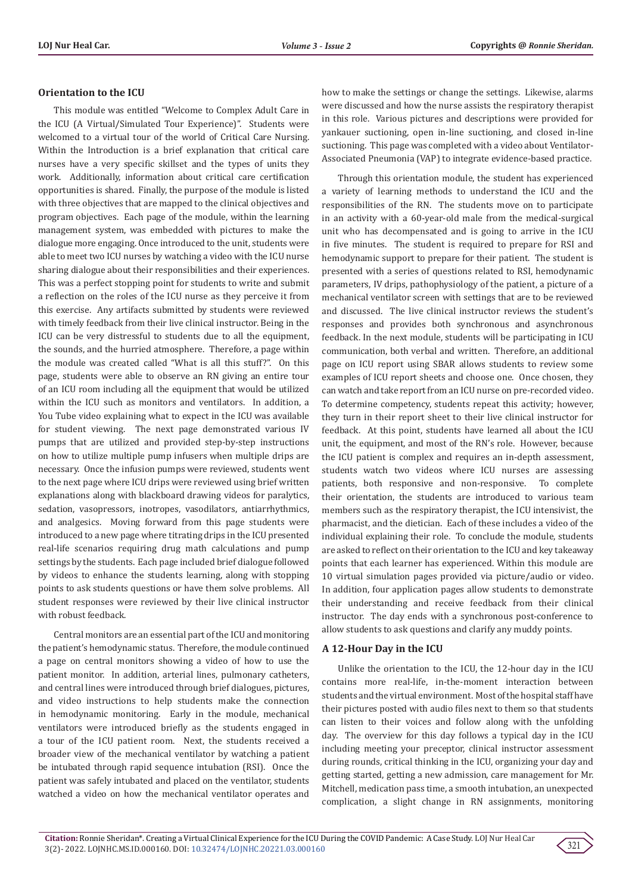## **Orientation to the ICU**

This module was entitled "Welcome to Complex Adult Care in the ICU (A Virtual/Simulated Tour Experience)". Students were welcomed to a virtual tour of the world of Critical Care Nursing. Within the Introduction is a brief explanation that critical care nurses have a very specific skillset and the types of units they work. Additionally, information about critical care certification opportunities is shared. Finally, the purpose of the module is listed with three objectives that are mapped to the clinical objectives and program objectives. Each page of the module, within the learning management system, was embedded with pictures to make the dialogue more engaging. Once introduced to the unit, students were able to meet two ICU nurses by watching a video with the ICU nurse sharing dialogue about their responsibilities and their experiences. This was a perfect stopping point for students to write and submit a reflection on the roles of the ICU nurse as they perceive it from this exercise. Any artifacts submitted by students were reviewed with timely feedback from their live clinical instructor. Being in the ICU can be very distressful to students due to all the equipment, the sounds, and the hurried atmosphere. Therefore, a page within the module was created called "What is all this stuff?". On this page, students were able to observe an RN giving an entire tour of an ICU room including all the equipment that would be utilized within the ICU such as monitors and ventilators. In addition, a You Tube video explaining what to expect in the ICU was available for student viewing. The next page demonstrated various IV pumps that are utilized and provided step-by-step instructions on how to utilize multiple pump infusers when multiple drips are necessary. Once the infusion pumps were reviewed, students went to the next page where ICU drips were reviewed using brief written explanations along with blackboard drawing videos for paralytics, sedation, vasopressors, inotropes, vasodilators, antiarrhythmics, and analgesics. Moving forward from this page students were introduced to a new page where titrating drips in the ICU presented real-life scenarios requiring drug math calculations and pump settings by the students. Each page included brief dialogue followed by videos to enhance the students learning, along with stopping points to ask students questions or have them solve problems. All student responses were reviewed by their live clinical instructor with robust feedback.

Central monitors are an essential part of the ICU and monitoring the patient's hemodynamic status. Therefore, the module continued a page on central monitors showing a video of how to use the patient monitor. In addition, arterial lines, pulmonary catheters, and central lines were introduced through brief dialogues, pictures, and video instructions to help students make the connection in hemodynamic monitoring. Early in the module, mechanical ventilators were introduced briefly as the students engaged in a tour of the ICU patient room. Next, the students received a broader view of the mechanical ventilator by watching a patient be intubated through rapid sequence intubation (RSI). Once the patient was safely intubated and placed on the ventilator, students watched a video on how the mechanical ventilator operates and

how to make the settings or change the settings. Likewise, alarms were discussed and how the nurse assists the respiratory therapist in this role. Various pictures and descriptions were provided for yankauer suctioning, open in-line suctioning, and closed in-line suctioning. This page was completed with a video about Ventilator-Associated Pneumonia (VAP) to integrate evidence-based practice.

Through this orientation module, the student has experienced a variety of learning methods to understand the ICU and the responsibilities of the RN. The students move on to participate in an activity with a 60-year-old male from the medical-surgical unit who has decompensated and is going to arrive in the ICU in five minutes. The student is required to prepare for RSI and hemodynamic support to prepare for their patient. The student is presented with a series of questions related to RSI, hemodynamic parameters, IV drips, pathophysiology of the patient, a picture of a mechanical ventilator screen with settings that are to be reviewed and discussed. The live clinical instructor reviews the student's responses and provides both synchronous and asynchronous feedback. In the next module, students will be participating in ICU communication, both verbal and written. Therefore, an additional page on ICU report using SBAR allows students to review some examples of ICU report sheets and choose one. Once chosen, they can watch and take report from an ICU nurse on pre-recorded video. To determine competency, students repeat this activity; however, they turn in their report sheet to their live clinical instructor for feedback. At this point, students have learned all about the ICU unit, the equipment, and most of the RN's role. However, because the ICU patient is complex and requires an in-depth assessment, students watch two videos where ICU nurses are assessing patients, both responsive and non-responsive. To complete their orientation, the students are introduced to various team members such as the respiratory therapist, the ICU intensivist, the pharmacist, and the dietician. Each of these includes a video of the individual explaining their role. To conclude the module, students are asked to reflect on their orientation to the ICU and key takeaway points that each learner has experienced. Within this module are 10 virtual simulation pages provided via picture/audio or video. In addition, four application pages allow students to demonstrate their understanding and receive feedback from their clinical instructor. The day ends with a synchronous post-conference to allow students to ask questions and clarify any muddy points.

# **A 12-Hour Day in the ICU**

Unlike the orientation to the ICU, the 12-hour day in the ICU contains more real-life, in-the-moment interaction between students and the virtual environment. Most of the hospital staff have their pictures posted with audio files next to them so that students can listen to their voices and follow along with the unfolding day. The overview for this day follows a typical day in the ICU including meeting your preceptor, clinical instructor assessment during rounds, critical thinking in the ICU, organizing your day and getting started, getting a new admission, care management for Mr. Mitchell, medication pass time, a smooth intubation, an unexpected complication, a slight change in RN assignments, monitoring

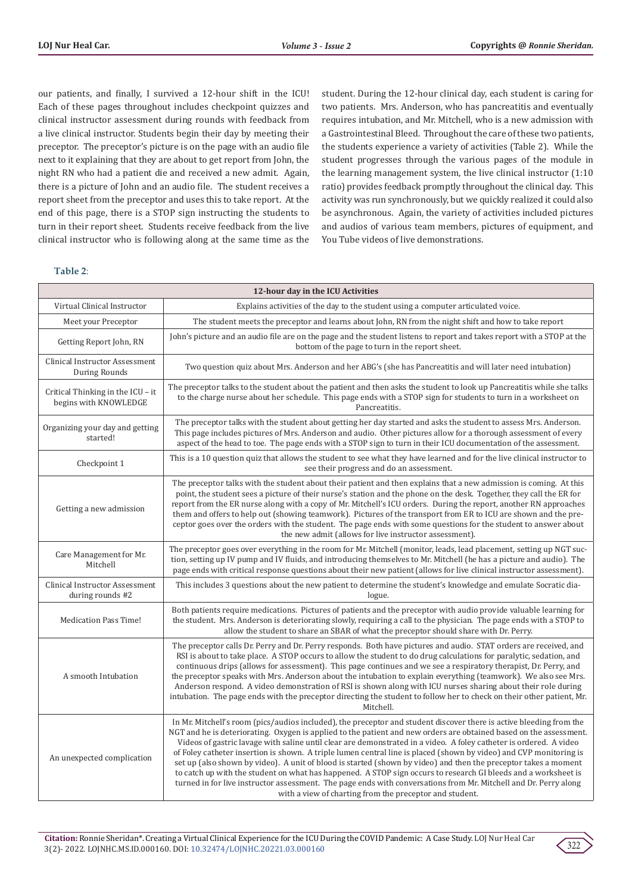our patients, and finally, I survived a 12-hour shift in the ICU! Each of these pages throughout includes checkpoint quizzes and clinical instructor assessment during rounds with feedback from a live clinical instructor. Students begin their day by meeting their preceptor. The preceptor's picture is on the page with an audio file next to it explaining that they are about to get report from John, the night RN who had a patient die and received a new admit. Again, there is a picture of John and an audio file. The student receives a report sheet from the preceptor and uses this to take report. At the end of this page, there is a STOP sign instructing the students to turn in their report sheet. Students receive feedback from the live clinical instructor who is following along at the same time as the

#### **Table 2**:

student. During the 12-hour clinical day, each student is caring for two patients. Mrs. Anderson, who has pancreatitis and eventually requires intubation, and Mr. Mitchell, who is a new admission with a Gastrointestinal Bleed. Throughout the care of these two patients, the students experience a variety of activities (Table 2). While the student progresses through the various pages of the module in the learning management system, the live clinical instructor (1:10 ratio) provides feedback promptly throughout the clinical day. This activity was run synchronously, but we quickly realized it could also be asynchronous. Again, the variety of activities included pictures and audios of various team members, pictures of equipment, and You Tube videos of live demonstrations.

|                                                            | 12-hour day in the ICU Activities                                                                                                                                                                                                                                                                                                                                                                                                                                                                                                                                                                                                                                                                                                                                                                                                                                                                         |  |
|------------------------------------------------------------|-----------------------------------------------------------------------------------------------------------------------------------------------------------------------------------------------------------------------------------------------------------------------------------------------------------------------------------------------------------------------------------------------------------------------------------------------------------------------------------------------------------------------------------------------------------------------------------------------------------------------------------------------------------------------------------------------------------------------------------------------------------------------------------------------------------------------------------------------------------------------------------------------------------|--|
| Virtual Clinical Instructor                                | Explains activities of the day to the student using a computer articulated voice.                                                                                                                                                                                                                                                                                                                                                                                                                                                                                                                                                                                                                                                                                                                                                                                                                         |  |
| Meet your Preceptor                                        | The student meets the preceptor and learns about John, RN from the night shift and how to take report                                                                                                                                                                                                                                                                                                                                                                                                                                                                                                                                                                                                                                                                                                                                                                                                     |  |
| Getting Report John, RN                                    | John's picture and an audio file are on the page and the student listens to report and takes report with a STOP at the<br>bottom of the page to turn in the report sheet.                                                                                                                                                                                                                                                                                                                                                                                                                                                                                                                                                                                                                                                                                                                                 |  |
| Clinical Instructor Assessment<br><b>During Rounds</b>     | Two question quiz about Mrs. Anderson and her ABG's (she has Pancreatitis and will later need intubation)                                                                                                                                                                                                                                                                                                                                                                                                                                                                                                                                                                                                                                                                                                                                                                                                 |  |
| Critical Thinking in the ICU - it<br>begins with KNOWLEDGE | The preceptor talks to the student about the patient and then asks the student to look up Pancreatitis while she talks<br>to the charge nurse about her schedule. This page ends with a STOP sign for students to turn in a worksheet on<br>Pancreatitis.                                                                                                                                                                                                                                                                                                                                                                                                                                                                                                                                                                                                                                                 |  |
| Organizing your day and getting<br>started!                | The preceptor talks with the student about getting her day started and asks the student to assess Mrs. Anderson.<br>This page includes pictures of Mrs. Anderson and audio. Other pictures allow for a thorough assessment of every<br>aspect of the head to toe. The page ends with a STOP sign to turn in their ICU documentation of the assessment.                                                                                                                                                                                                                                                                                                                                                                                                                                                                                                                                                    |  |
| Checkpoint 1                                               | This is a 10 question quiz that allows the student to see what they have learned and for the live clinical instructor to<br>see their progress and do an assessment.                                                                                                                                                                                                                                                                                                                                                                                                                                                                                                                                                                                                                                                                                                                                      |  |
| Getting a new admission                                    | The preceptor talks with the student about their patient and then explains that a new admission is coming. At this<br>point, the student sees a picture of their nurse's station and the phone on the desk. Together, they call the ER for<br>report from the ER nurse along with a copy of Mr. Mitchell's ICU orders. During the report, another RN approaches<br>them and offers to help out (showing teamwork). Pictures of the transport from ER to ICU are shown and the pre-<br>ceptor goes over the orders with the student. The page ends with some questions for the student to answer about<br>the new admit (allows for live instructor assessment).                                                                                                                                                                                                                                           |  |
| Care Management for Mr.<br>Mitchell                        | The preceptor goes over everything in the room for Mr. Mitchell (monitor, leads, lead placement, setting up NGT suc-<br>tion, setting up IV pump and IV fluids, and introducing themselves to Mr. Mitchell (he has a picture and audio). The<br>page ends with critical response questions about their new patient (allows for live clinical instructor assessment).                                                                                                                                                                                                                                                                                                                                                                                                                                                                                                                                      |  |
| Clinical Instructor Assessment<br>during rounds #2         | This includes 3 questions about the new patient to determine the student's knowledge and emulate Socratic dia-<br>logue.                                                                                                                                                                                                                                                                                                                                                                                                                                                                                                                                                                                                                                                                                                                                                                                  |  |
| <b>Medication Pass Time!</b>                               | Both patients require medications. Pictures of patients and the preceptor with audio provide valuable learning for<br>the student. Mrs. Anderson is deteriorating slowly, requiring a call to the physician. The page ends with a STOP to<br>allow the student to share an SBAR of what the preceptor should share with Dr. Perry.                                                                                                                                                                                                                                                                                                                                                                                                                                                                                                                                                                        |  |
| A smooth Intubation                                        | The preceptor calls Dr. Perry and Dr. Perry responds. Both have pictures and audio. STAT orders are received, and<br>RSI is about to take place. A STOP occurs to allow the student to do drug calculations for paralytic, sedation, and<br>continuous drips (allows for assessment). This page continues and we see a respiratory therapist, Dr. Perry, and<br>the preceptor speaks with Mrs. Anderson about the intubation to explain everything (teamwork). We also see Mrs.<br>Anderson respond. A video demonstration of RSI is shown along with ICU nurses sharing about their role during<br>intubation. The page ends with the preceptor directing the student to follow her to check on their other patient, Mr.<br>Mitchell.                                                                                                                                                                    |  |
| An unexpected complication                                 | In Mr. Mitchell's room (pics/audios included), the preceptor and student discover there is active bleeding from the<br>NGT and he is deteriorating. Oxygen is applied to the patient and new orders are obtained based on the assessment.<br>Videos of gastric lavage with saline until clear are demonstrated in a video. A foley catheter is ordered. A video<br>of Foley catheter insertion is shown. A triple lumen central line is placed (shown by video) and CVP monitoring is<br>set up (also shown by video). A unit of blood is started (shown by video) and then the preceptor takes a moment<br>to catch up with the student on what has happened. A STOP sign occurs to research GI bleeds and a worksheet is<br>turned in for live instructor assessment. The page ends with conversations from Mr. Mitchell and Dr. Perry along<br>with a view of charting from the preceptor and student. |  |